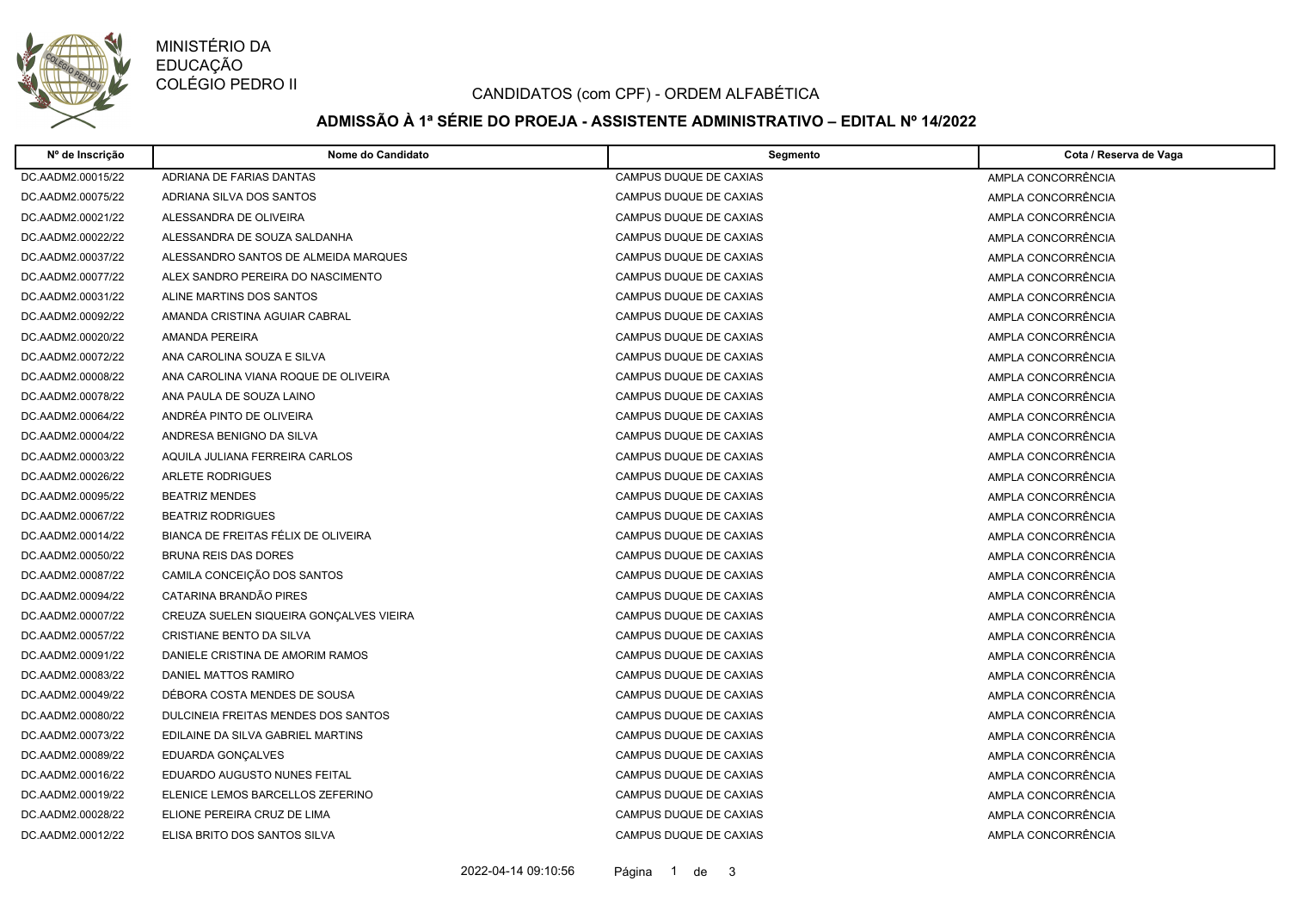

MINISTÉRIO DA EDUCAÇÃO COLÉGIO PEDRO II

### CANDIDATOS (com CPF) - ORDEM ALFABÉTICA

# **ADMISSÃO À 1ª SÉRIE DO PROEJA - ASSISTENTE ADMINISTRATIVO – EDITAL Nº 14/2022**

| Nº de Inscrição   | Nome do Candidato                       | Segmento               | Cota / Reserva de Vaga |
|-------------------|-----------------------------------------|------------------------|------------------------|
| DC.AADM2.00015/22 | ADRIANA DE FARIAS DANTAS                | CAMPUS DUQUE DE CAXIAS | AMPLA CONCORRÊNCIA     |
| DC.AADM2.00075/22 | ADRIANA SILVA DOS SANTOS                | CAMPUS DUQUE DE CAXIAS | AMPLA CONCORRÊNCIA     |
| DC.AADM2.00021/22 | ALESSANDRA DE OLIVEIRA                  | CAMPUS DUQUE DE CAXIAS | AMPLA CONCORRÊNCIA     |
| DC.AADM2.00022/22 | ALESSANDRA DE SOUZA SALDANHA            | CAMPUS DUQUE DE CAXIAS | AMPLA CONCORRÊNCIA     |
| DC.AADM2.00037/22 | ALESSANDRO SANTOS DE ALMEIDA MARQUES    | CAMPUS DUQUE DE CAXIAS | AMPLA CONCORRÊNCIA     |
| DC.AADM2.00077/22 | ALEX SANDRO PEREIRA DO NASCIMENTO       | CAMPUS DUQUE DE CAXIAS | AMPLA CONCORRÊNCIA     |
| DC.AADM2.00031/22 | ALINE MARTINS DOS SANTOS                | CAMPUS DUQUE DE CAXIAS | AMPLA CONCORRÊNCIA     |
| DC.AADM2.00092/22 | AMANDA CRISTINA AGUIAR CABRAL           | CAMPUS DUQUE DE CAXIAS | AMPLA CONCORRÊNCIA     |
| DC.AADM2.00020/22 | <b>AMANDA PEREIRA</b>                   | CAMPUS DUQUE DE CAXIAS | AMPLA CONCORRÊNCIA     |
| DC.AADM2.00072/22 | ANA CAROLINA SOUZA E SILVA              | CAMPUS DUQUE DE CAXIAS | AMPLA CONCORRÊNCIA     |
| DC.AADM2.00008/22 | ANA CAROLINA VIANA ROQUE DE OLIVEIRA    | CAMPUS DUQUE DE CAXIAS | AMPLA CONCORRÊNCIA     |
| DC.AADM2.00078/22 | ANA PAULA DE SOUZA LAINO                | CAMPUS DUQUE DE CAXIAS | AMPLA CONCORRÊNCIA     |
| DC.AADM2.00064/22 | ANDRÉA PINTO DE OLIVEIRA                | CAMPUS DUQUE DE CAXIAS | AMPLA CONCORRÊNCIA     |
| DC.AADM2.00004/22 | ANDRESA BENIGNO DA SILVA                | CAMPUS DUQUE DE CAXIAS | AMPLA CONCORRÊNCIA     |
| DC.AADM2.00003/22 | AQUILA JULIANA FERREIRA CARLOS          | CAMPUS DUQUE DE CAXIAS | AMPLA CONCORRÊNCIA     |
| DC.AADM2.00026/22 | <b>ARLETE RODRIGUES</b>                 | CAMPUS DUQUE DE CAXIAS | AMPLA CONCORRÊNCIA     |
| DC.AADM2.00095/22 | <b>BEATRIZ MENDES</b>                   | CAMPUS DUQUE DE CAXIAS | AMPLA CONCORRÊNCIA     |
| DC.AADM2.00067/22 | <b>BEATRIZ RODRIGUES</b>                | CAMPUS DUQUE DE CAXIAS | AMPLA CONCORRÊNCIA     |
| DC.AADM2.00014/22 | BIANCA DE FREITAS FÉLIX DE OLIVEIRA     | CAMPUS DUQUE DE CAXIAS | AMPLA CONCORRÊNCIA     |
| DC.AADM2.00050/22 | <b>BRUNA REIS DAS DORES</b>             | CAMPUS DUQUE DE CAXIAS | AMPLA CONCORRÊNCIA     |
| DC.AADM2.00087/22 | CAMILA CONCEIÇÃO DOS SANTOS             | CAMPUS DUQUE DE CAXIAS | AMPLA CONCORRÊNCIA     |
| DC.AADM2.00094/22 | CATARINA BRANDÃO PIRES                  | CAMPUS DUQUE DE CAXIAS | AMPLA CONCORRÊNCIA     |
| DC.AADM2.00007/22 | CREUZA SUELEN SIQUEIRA GONÇALVES VIEIRA | CAMPUS DUQUE DE CAXIAS | AMPLA CONCORRÊNCIA     |
| DC.AADM2.00057/22 | CRISTIANE BENTO DA SILVA                | CAMPUS DUQUE DE CAXIAS | AMPLA CONCORRÊNCIA     |
| DC.AADM2.00091/22 | DANIELE CRISTINA DE AMORIM RAMOS        | CAMPUS DUQUE DE CAXIAS | AMPLA CONCORRÊNCIA     |
| DC.AADM2.00083/22 | DANIEL MATTOS RAMIRO                    | CAMPUS DUQUE DE CAXIAS | AMPLA CONCORRÊNCIA     |
| DC.AADM2.00049/22 | DÉBORA COSTA MENDES DE SOUSA            | CAMPUS DUQUE DE CAXIAS | AMPLA CONCORRÊNCIA     |
| DC.AADM2.00080/22 | DULCINEIA FREITAS MENDES DOS SANTOS     | CAMPUS DUQUE DE CAXIAS | AMPLA CONCORRÊNCIA     |
| DC.AADM2.00073/22 | EDILAINE DA SILVA GABRIEL MARTINS       | CAMPUS DUQUE DE CAXIAS | AMPLA CONCORRÊNCIA     |
| DC.AADM2.00089/22 | EDUARDA GONÇALVES                       | CAMPUS DUQUE DE CAXIAS | AMPLA CONCORRÊNCIA     |
| DC.AADM2.00016/22 | EDUARDO AUGUSTO NUNES FEITAL            | CAMPUS DUQUE DE CAXIAS | AMPLA CONCORRÊNCIA     |
| DC.AADM2.00019/22 | ELENICE LEMOS BARCELLOS ZEFERINO        | CAMPUS DUQUE DE CAXIAS | AMPLA CONCORRÊNCIA     |
| DC.AADM2.00028/22 | ELIONE PEREIRA CRUZ DE LIMA             | CAMPUS DUQUE DE CAXIAS | AMPLA CONCORRÊNCIA     |
| DC.AADM2.00012/22 | ELISA BRITO DOS SANTOS SILVA            | CAMPUS DUQUE DE CAXIAS | AMPLA CONCORRÊNCIA     |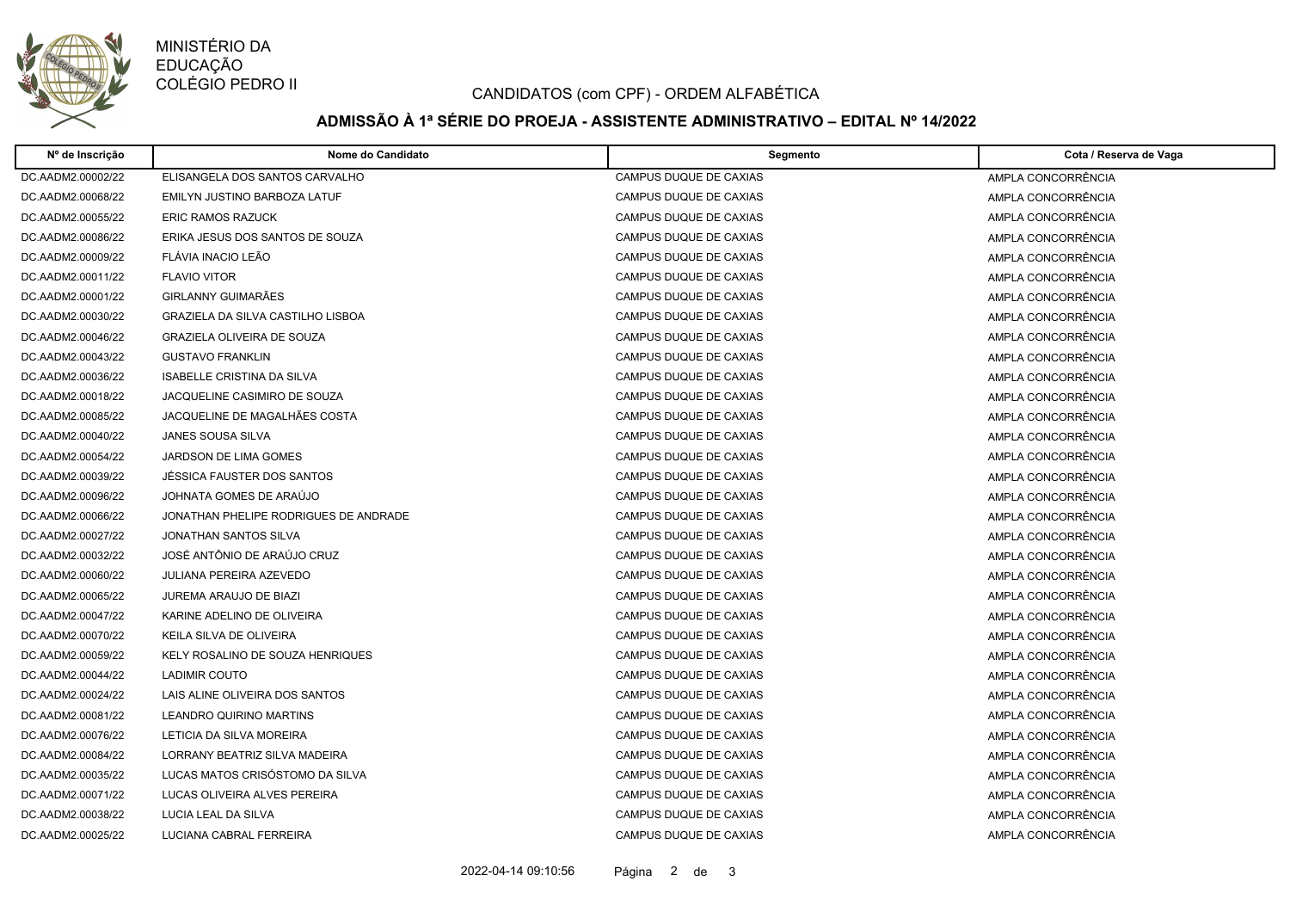

MINISTÉRIO DA EDUCAÇÃO COLÉGIO PEDRO II

### CANDIDATOS (com CPF) - ORDEM ALFABÉTICA

# **ADMISSÃO À 1ª SÉRIE DO PROEJA - ASSISTENTE ADMINISTRATIVO – EDITAL Nº 14/2022**

| Nº de Inscrição   | Nome do Candidato                     | Segmento               | Cota / Reserva de Vaga |
|-------------------|---------------------------------------|------------------------|------------------------|
| DC.AADM2.00002/22 | ELISANGELA DOS SANTOS CARVALHO        | CAMPUS DUQUE DE CAXIAS | AMPLA CONCORRÊNCIA     |
| DC.AADM2.00068/22 | EMILYN JUSTINO BARBOZA LATUF          | CAMPUS DUQUE DE CAXIAS | AMPLA CONCORRÊNCIA     |
| DC.AADM2.00055/22 | <b>ERIC RAMOS RAZUCK</b>              | CAMPUS DUQUE DE CAXIAS | AMPLA CONCORRÊNCIA     |
| DC.AADM2.00086/22 | ERIKA JESUS DOS SANTOS DE SOUZA       | CAMPUS DUQUE DE CAXIAS | AMPLA CONCORRÊNCIA     |
| DC.AADM2.00009/22 | FLAVIA INACIO LEÃO                    | CAMPUS DUQUE DE CAXIAS | AMPLA CONCORRÊNCIA     |
| DC.AADM2.00011/22 | <b>FLAVIO VITOR</b>                   | CAMPUS DUQUE DE CAXIAS | AMPLA CONCORRÊNCIA     |
| DC.AADM2.00001/22 | GIRLANNY GUIMARÃES                    | CAMPUS DUQUE DE CAXIAS | AMPLA CONCORRÊNCIA     |
| DC.AADM2.00030/22 | GRAZIELA DA SILVA CASTILHO LISBOA     | CAMPUS DUQUE DE CAXIAS | AMPLA CONCORRÊNCIA     |
| DC.AADM2.00046/22 | <b>GRAZIELA OLIVEIRA DE SOUZA</b>     | CAMPUS DUQUE DE CAXIAS | AMPLA CONCORRÊNCIA     |
| DC.AADM2.00043/22 | <b>GUSTAVO FRANKLIN</b>               | CAMPUS DUQUE DE CAXIAS | AMPLA CONCORRÊNCIA     |
| DC.AADM2.00036/22 | <b>ISABELLE CRISTINA DA SILVA</b>     | CAMPUS DUQUE DE CAXIAS | AMPLA CONCORRÊNCIA     |
| DC.AADM2.00018/22 | JACQUELINE CASIMIRO DE SOUZA          | CAMPUS DUQUE DE CAXIAS | AMPLA CONCORRÊNCIA     |
| DC.AADM2.00085/22 | JACQUELINE DE MAGALHÃES COSTA         | CAMPUS DUQUE DE CAXIAS | AMPLA CONCORRÊNCIA     |
| DC.AADM2.00040/22 | JANES SOUSA SILVA                     | CAMPUS DUQUE DE CAXIAS | AMPLA CONCORRÊNCIA     |
| DC.AADM2.00054/22 | <b>JARDSON DE LIMA GOMES</b>          | CAMPUS DUQUE DE CAXIAS | AMPLA CONCORRÊNCIA     |
| DC.AADM2.00039/22 | JÉSSICA FAUSTER DOS SANTOS            | CAMPUS DUQUE DE CAXIAS | AMPLA CONCORRÊNCIA     |
| DC.AADM2.00096/22 | JOHNATA GOMES DE ARAÚJO               | CAMPUS DUQUE DE CAXIAS | AMPLA CONCORRÊNCIA     |
| DC.AADM2.00066/22 | JONATHAN PHELIPE RODRIGUES DE ANDRADE | CAMPUS DUQUE DE CAXIAS | AMPLA CONCORRÊNCIA     |
| DC.AADM2.00027/22 | JONATHAN SANTOS SILVA                 | CAMPUS DUQUE DE CAXIAS | AMPLA CONCORRÊNCIA     |
| DC.AADM2.00032/22 | JOSÉ ANTÔNIO DE ARAÚJO CRUZ           | CAMPUS DUQUE DE CAXIAS | AMPLA CONCORRÊNCIA     |
| DC.AADM2.00060/22 | <b>JULIANA PEREIRA AZEVEDO</b>        | CAMPUS DUQUE DE CAXIAS | AMPLA CONCORRÊNCIA     |
| DC.AADM2.00065/22 | JUREMA ARAUJO DE BIAZI                | CAMPUS DUQUE DE CAXIAS | AMPLA CONCORRÊNCIA     |
| DC.AADM2.00047/22 | KARINE ADELINO DE OLIVEIRA            | CAMPUS DUQUE DE CAXIAS | AMPLA CONCORRÊNCIA     |
| DC.AADM2.00070/22 | KEILA SILVA DE OLIVEIRA               | CAMPUS DUQUE DE CAXIAS | AMPLA CONCORRÊNCIA     |
| DC.AADM2.00059/22 | KELY ROSALINO DE SOUZA HENRIQUES      | CAMPUS DUQUE DE CAXIAS | AMPLA CONCORRÊNCIA     |
| DC.AADM2.00044/22 | LADIMIR COUTO                         | CAMPUS DUQUE DE CAXIAS | AMPLA CONCORRÊNCIA     |
| DC.AADM2.00024/22 | LAIS ALINE OLIVEIRA DOS SANTOS        | CAMPUS DUQUE DE CAXIAS | AMPLA CONCORRÊNCIA     |
| DC.AADM2.00081/22 | LEANDRO QUIRINO MARTINS               | CAMPUS DUQUE DE CAXIAS | AMPLA CONCORRÊNCIA     |
| DC.AADM2.00076/22 | LETICIA DA SILVA MOREIRA              | CAMPUS DUQUE DE CAXIAS | AMPLA CONCORRÊNCIA     |
| DC.AADM2.00084/22 | LORRANY BEATRIZ SILVA MADEIRA         | CAMPUS DUQUE DE CAXIAS | AMPLA CONCORRÊNCIA     |
| DC.AADM2.00035/22 | LUCAS MATOS CRISÓSTOMO DA SILVA       | CAMPUS DUQUE DE CAXIAS | AMPLA CONCORRÊNCIA     |
| DC.AADM2.00071/22 | LUCAS OLIVEIRA ALVES PEREIRA          | CAMPUS DUQUE DE CAXIAS | AMPLA CONCORRÊNCIA     |
| DC.AADM2.00038/22 | LUCIA LEAL DA SILVA                   | CAMPUS DUQUE DE CAXIAS | AMPLA CONCORRÊNCIA     |
| DC.AADM2.00025/22 | LUCIANA CABRAL FERREIRA               | CAMPUS DUQUE DE CAXIAS | AMPLA CONCORRÊNCIA     |